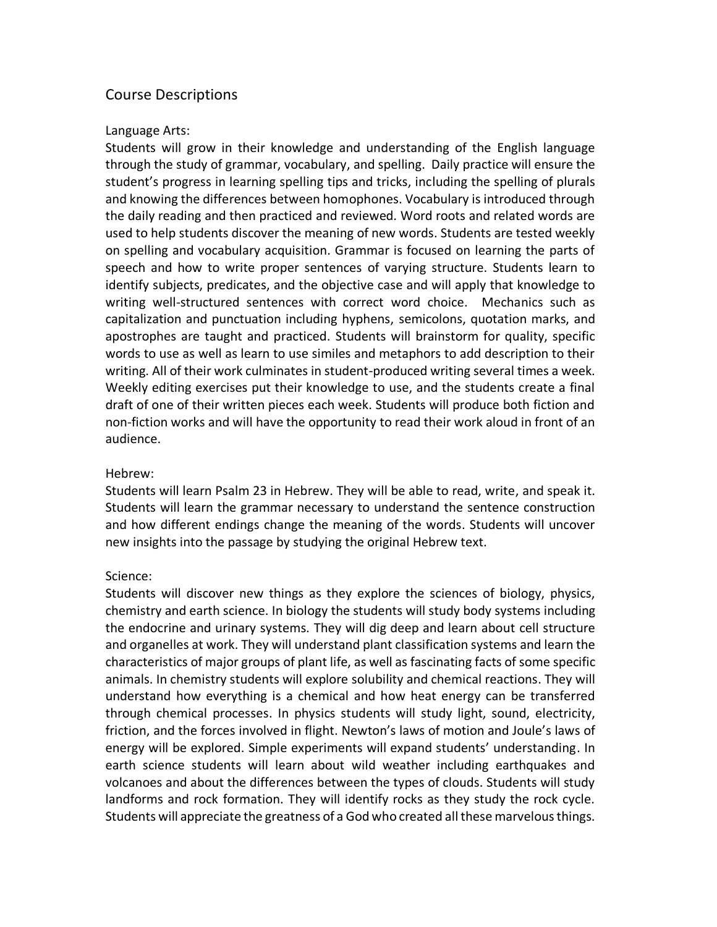# Course Descriptions

### Language Arts:

Students will grow in their knowledge and understanding of the English language through the study of grammar, vocabulary, and spelling. Daily practice will ensure the student's progress in learning spelling tips and tricks, including the spelling of plurals and knowing the differences between homophones. Vocabulary is introduced through the daily reading and then practiced and reviewed. Word roots and related words are used to help students discover the meaning of new words. Students are tested weekly on spelling and vocabulary acquisition. Grammar is focused on learning the parts of speech and how to write proper sentences of varying structure. Students learn to identify subjects, predicates, and the objective case and will apply that knowledge to writing well-structured sentences with correct word choice. Mechanics such as capitalization and punctuation including hyphens, semicolons, quotation marks, and apostrophes are taught and practiced. Students will brainstorm for quality, specific words to use as well as learn to use similes and metaphors to add description to their writing. All of their work culminates in student-produced writing several times a week. Weekly editing exercises put their knowledge to use, and the students create a final draft of one of their written pieces each week. Students will produce both fiction and non-fiction works and will have the opportunity to read their work aloud in front of an audience.

### Hebrew:

Students will learn Psalm 23 in Hebrew. They will be able to read, write, and speak it. Students will learn the grammar necessary to understand the sentence construction and how different endings change the meaning of the words. Students will uncover new insights into the passage by studying the original Hebrew text.

### Science:

Students will discover new things as they explore the sciences of biology, physics, chemistry and earth science. In biology the students will study body systems including the endocrine and urinary systems. They will dig deep and learn about cell structure and organelles at work. They will understand plant classification systems and learn the characteristics of major groups of plant life, as well as fascinating facts of some specific animals. In chemistry students will explore solubility and chemical reactions. They will understand how everything is a chemical and how heat energy can be transferred through chemical processes. In physics students will study light, sound, electricity, friction, and the forces involved in flight. Newton's laws of motion and Joule's laws of energy will be explored. Simple experiments will expand students' understanding. In earth science students will learn about wild weather including earthquakes and volcanoes and about the differences between the types of clouds. Students will study landforms and rock formation. They will identify rocks as they study the rock cycle. Students will appreciate the greatness of a God who created all these marvelous things.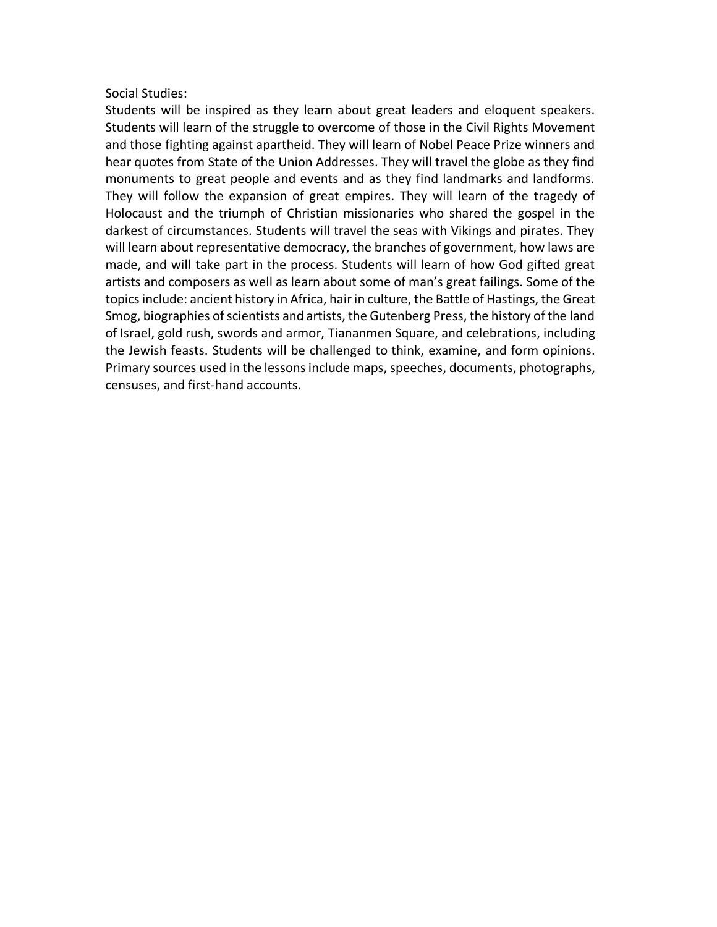### Social Studies:

Students will be inspired as they learn about great leaders and eloquent speakers. Students will learn of the struggle to overcome of those in the Civil Rights Movement and those fighting against apartheid. They will learn of Nobel Peace Prize winners and hear quotes from State of the Union Addresses. They will travel the globe as they find monuments to great people and events and as they find landmarks and landforms. They will follow the expansion of great empires. They will learn of the tragedy of Holocaust and the triumph of Christian missionaries who shared the gospel in the darkest of circumstances. Students will travel the seas with Vikings and pirates. They will learn about representative democracy, the branches of government, how laws are made, and will take part in the process. Students will learn of how God gifted great artists and composers as well as learn about some of man's great failings. Some of the topics include: ancient history in Africa, hair in culture, the Battle of Hastings, the Great Smog, biographies of scientists and artists, the Gutenberg Press, the history of the land of Israel, gold rush, swords and armor, Tiananmen Square, and celebrations, including the Jewish feasts. Students will be challenged to think, examine, and form opinions. Primary sources used in the lessons include maps, speeches, documents, photographs, censuses, and first-hand accounts.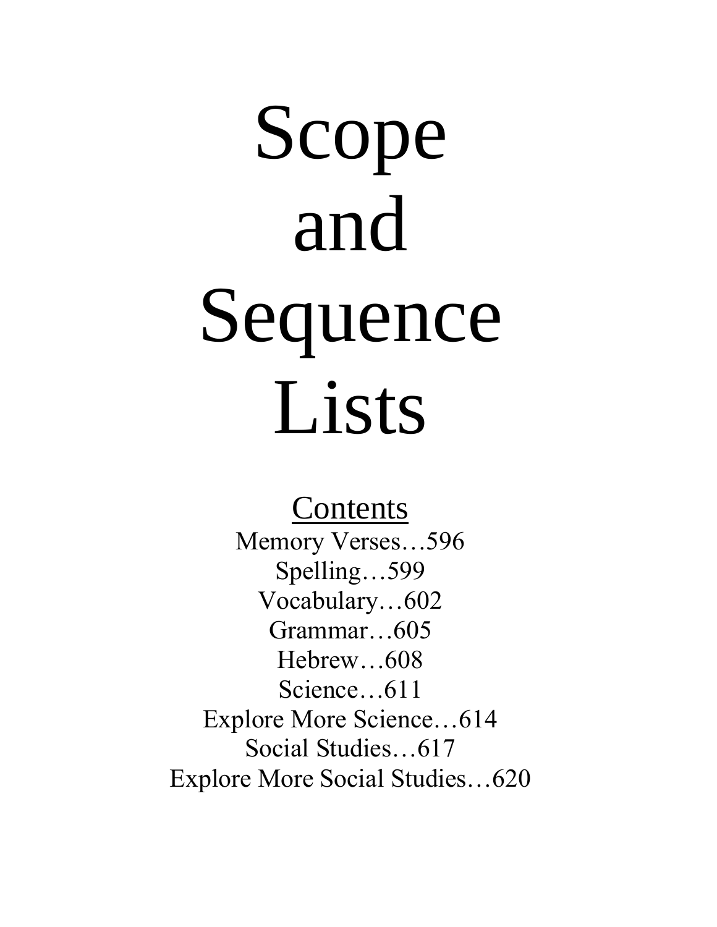# Scope and Sequence Lists

Contents Memory Verses…596 Spelling…599 Vocabulary…602 Grammar…605 Hebrew…608 Science…611 Explore More Science…614 Social Studies…617 Explore More Social Studies…620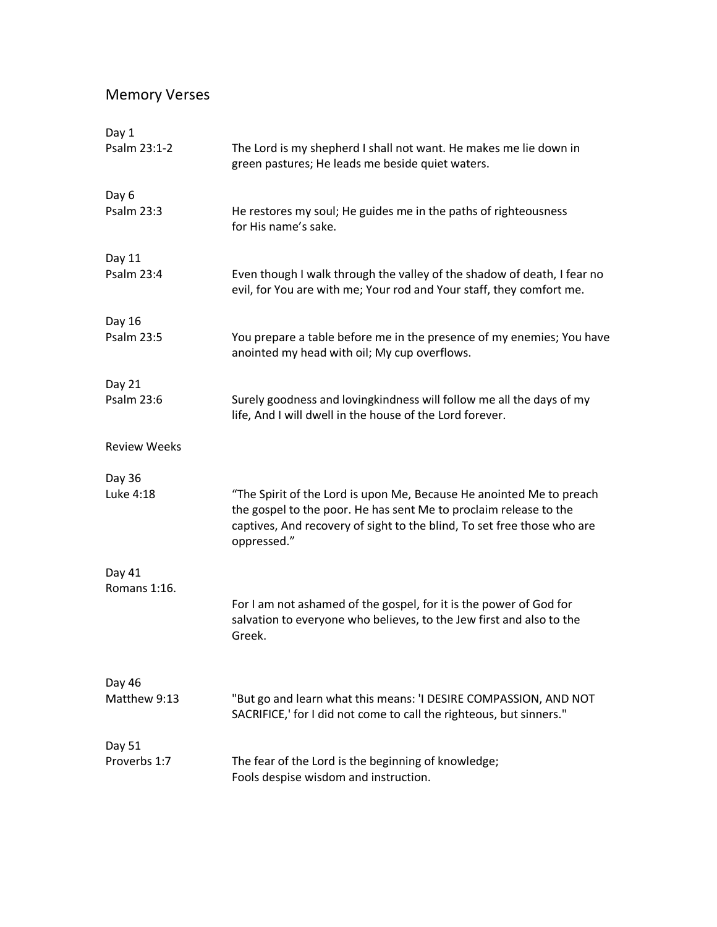# Memory Verses

| Day 1               |                                                                                                                                                                                                                                     |
|---------------------|-------------------------------------------------------------------------------------------------------------------------------------------------------------------------------------------------------------------------------------|
| Psalm 23:1-2        | The Lord is my shepherd I shall not want. He makes me lie down in<br>green pastures; He leads me beside quiet waters.                                                                                                               |
| Day 6               |                                                                                                                                                                                                                                     |
| Psalm 23:3          | He restores my soul; He guides me in the paths of righteousness<br>for His name's sake.                                                                                                                                             |
| Day 11              |                                                                                                                                                                                                                                     |
| <b>Psalm 23:4</b>   | Even though I walk through the valley of the shadow of death, I fear no<br>evil, for You are with me; Your rod and Your staff, they comfort me.                                                                                     |
| Day 16              |                                                                                                                                                                                                                                     |
| Psalm 23:5          | You prepare a table before me in the presence of my enemies; You have<br>anointed my head with oil; My cup overflows.                                                                                                               |
| Day 21              |                                                                                                                                                                                                                                     |
| Psalm 23:6          | Surely goodness and lovingkindness will follow me all the days of my<br>life, And I will dwell in the house of the Lord forever.                                                                                                    |
| <b>Review Weeks</b> |                                                                                                                                                                                                                                     |
| Day 36              |                                                                                                                                                                                                                                     |
| Luke 4:18           | "The Spirit of the Lord is upon Me, Because He anointed Me to preach<br>the gospel to the poor. He has sent Me to proclaim release to the<br>captives, And recovery of sight to the blind, To set free those who are<br>oppressed." |
| Day 41              |                                                                                                                                                                                                                                     |
| Romans 1:16.        |                                                                                                                                                                                                                                     |
|                     | For I am not ashamed of the gospel, for it is the power of God for<br>salvation to everyone who believes, to the Jew first and also to the<br>Greek.                                                                                |
| Day 46              |                                                                                                                                                                                                                                     |
| Matthew 9:13        | "But go and learn what this means: 'I DESIRE COMPASSION, AND NOT<br>SACRIFICE,' for I did not come to call the righteous, but sinners."                                                                                             |
| Day 51              |                                                                                                                                                                                                                                     |
| Proverbs 1:7        | The fear of the Lord is the beginning of knowledge;<br>Fools despise wisdom and instruction.                                                                                                                                        |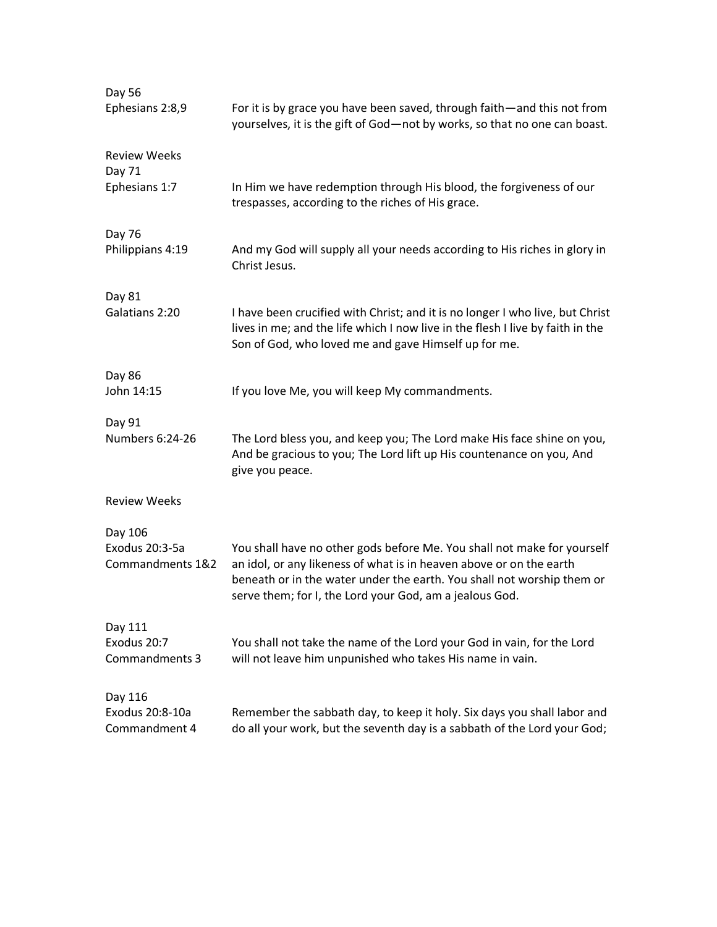| Day 56                             |                                                                                                                                                                                                                                                                                     |
|------------------------------------|-------------------------------------------------------------------------------------------------------------------------------------------------------------------------------------------------------------------------------------------------------------------------------------|
| Ephesians 2:8,9                    | For it is by grace you have been saved, through faith-and this not from<br>yourselves, it is the gift of God-not by works, so that no one can boast.                                                                                                                                |
| <b>Review Weeks</b><br>Day 71      |                                                                                                                                                                                                                                                                                     |
| Ephesians 1:7                      | In Him we have redemption through His blood, the forgiveness of our<br>trespasses, according to the riches of His grace.                                                                                                                                                            |
| Day 76                             |                                                                                                                                                                                                                                                                                     |
| Philippians 4:19                   | And my God will supply all your needs according to His riches in glory in<br>Christ Jesus.                                                                                                                                                                                          |
| Day 81                             |                                                                                                                                                                                                                                                                                     |
| Galatians 2:20                     | I have been crucified with Christ; and it is no longer I who live, but Christ<br>lives in me; and the life which I now live in the flesh I live by faith in the<br>Son of God, who loved me and gave Himself up for me.                                                             |
| Day 86                             |                                                                                                                                                                                                                                                                                     |
| John 14:15                         | If you love Me, you will keep My commandments.                                                                                                                                                                                                                                      |
| Day 91                             |                                                                                                                                                                                                                                                                                     |
| Numbers 6:24-26                    | The Lord bless you, and keep you; The Lord make His face shine on you,<br>And be gracious to you; The Lord lift up His countenance on you, And<br>give you peace.                                                                                                                   |
| <b>Review Weeks</b>                |                                                                                                                                                                                                                                                                                     |
| Day 106                            |                                                                                                                                                                                                                                                                                     |
| Exodus 20:3-5a<br>Commandments 1&2 | You shall have no other gods before Me. You shall not make for yourself<br>an idol, or any likeness of what is in heaven above or on the earth<br>beneath or in the water under the earth. You shall not worship them or<br>serve them; for I, the Lord your God, am a jealous God. |
| Day 111                            |                                                                                                                                                                                                                                                                                     |
| Exodus 20:7<br>Commandments 3      | You shall not take the name of the Lord your God in vain, for the Lord<br>will not leave him unpunished who takes His name in vain.                                                                                                                                                 |
| Day 116                            |                                                                                                                                                                                                                                                                                     |
| Exodus 20:8-10a<br>Commandment 4   | Remember the sabbath day, to keep it holy. Six days you shall labor and<br>do all your work, but the seventh day is a sabbath of the Lord your God;                                                                                                                                 |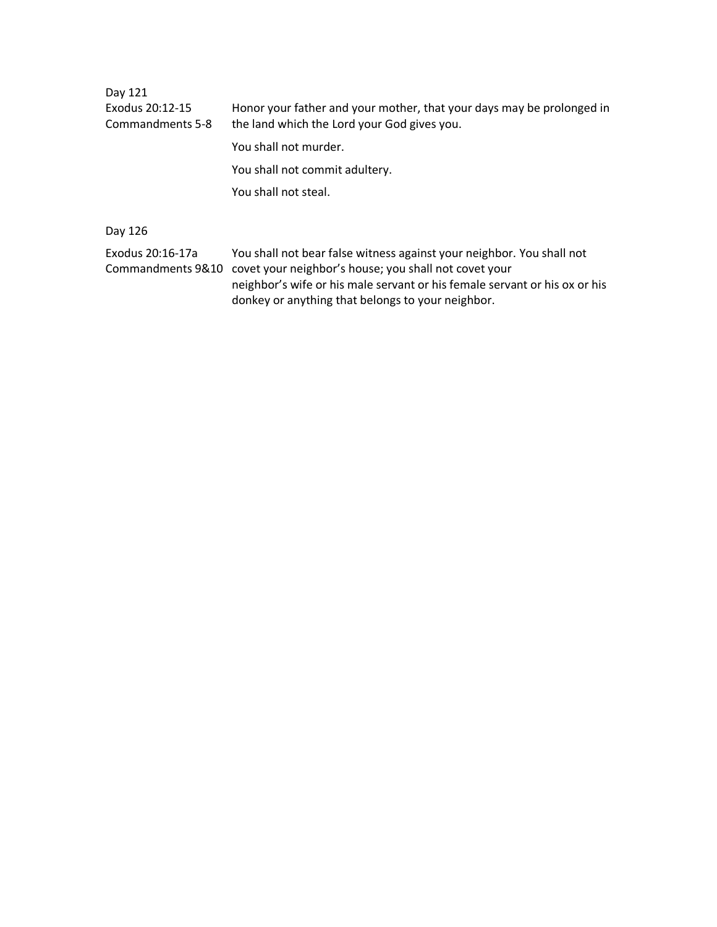Day 121 Exodus 20:12-15 Honor your father and your mother, that your days may be prolonged in Commandments 5-8 the land which the Lord your God gives you. You shall not murder. You shall not commit adultery. You shall not steal.

Day 126

Exodus 20:16-17a You shall not bear false witness against your neighbor. You shall not Commandments 9&10 covet your neighbor's house; you shall not covet your neighbor's wife or his male servant or his female servant or his ox or his donkey or anything that belongs to your neighbor.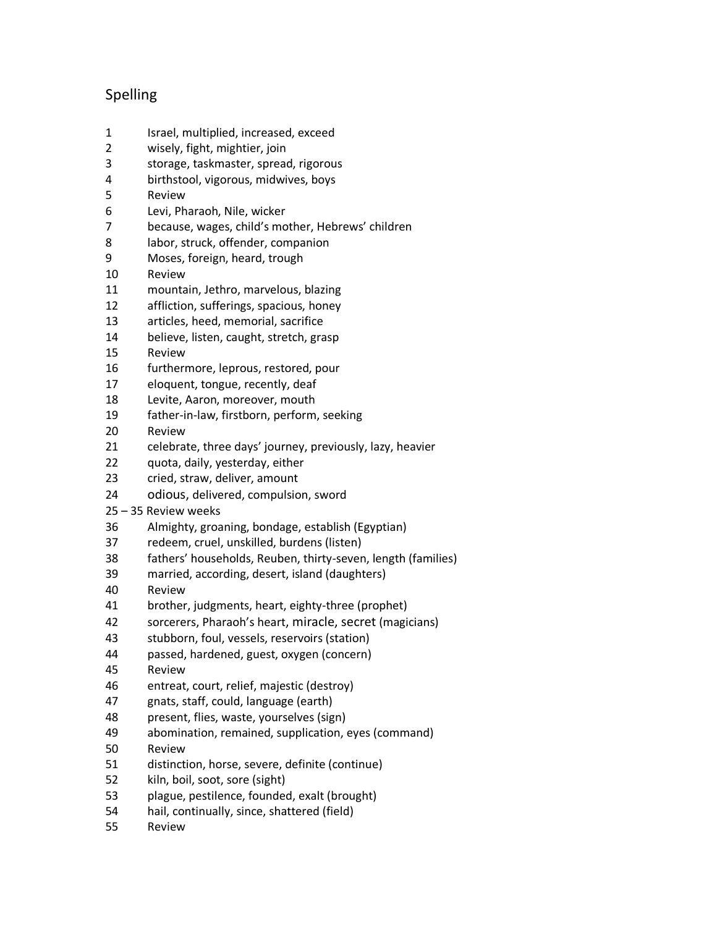# Spelling

- Israel, multiplied, increased, exceed
- wisely, fight, mightier, join
- storage, taskmaster, spread, rigorous
- birthstool, vigorous, midwives, boys
- Review
- Levi, Pharaoh, Nile, wicker
- because, wages, child's mother, Hebrews' children
- labor, struck, offender, companion
- Moses, foreign, heard, trough
- Review
- mountain, Jethro, marvelous, blazing
- affliction, sufferings, spacious, honey
- articles, heed, memorial, sacrifice
- believe, listen, caught, stretch, grasp
- Review
- furthermore, leprous, restored, pour
- eloquent, tongue, recently, deaf
- Levite, Aaron, moreover, mouth
- father-in-law, firstborn, perform, seeking
- Review
- celebrate, three days' journey, previously, lazy, heavier
- quota, daily, yesterday, either
- cried, straw, deliver, amount
- odious, delivered, compulsion, sword
- 35 Review weeks
- Almighty, groaning, bondage, establish (Egyptian)
- redeem, cruel, unskilled, burdens (listen)
- fathers' households, Reuben, thirty-seven, length (families)
- married, according, desert, island (daughters)
- Review
- brother, judgments, heart, eighty-three (prophet)
- sorcerers, Pharaoh's heart, miracle, secret (magicians)
- stubborn, foul, vessels, reservoirs (station)
- passed, hardened, guest, oxygen (concern)
- Review
- entreat, court, relief, majestic (destroy)
- gnats, staff, could, language (earth)
- present, flies, waste, yourselves (sign)
- abomination, remained, supplication, eyes (command)
- Review
- distinction, horse, severe, definite (continue)
- kiln, boil, soot, sore (sight)
- plague, pestilence, founded, exalt (brought)
- hail, continually, since, shattered (field)
- Review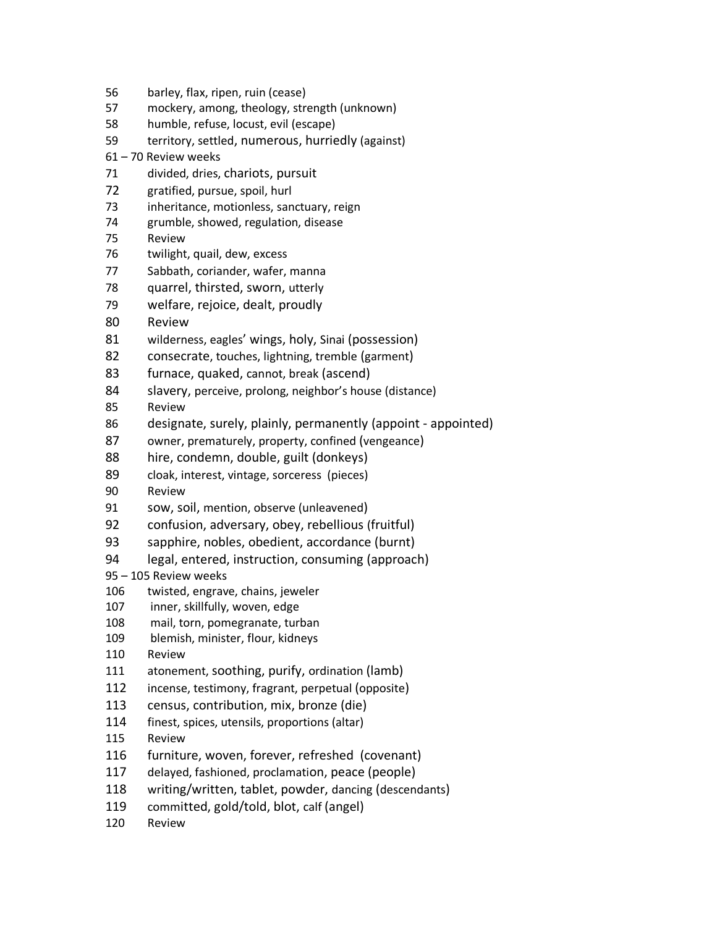- barley, flax, ripen, ruin (cease)
- mockery, among, theology, strength (unknown)
- humble, refuse, locust, evil (escape)
- territory, settled, numerous, hurriedly (against)
- 70 Review weeks
- divided, dries, chariots, pursuit
- gratified, pursue, spoil, hurl
- inheritance, motionless, sanctuary, reign
- grumble, showed, regulation, disease
- Review
- twilight, quail, dew, excess
- Sabbath, coriander, wafer, manna
- quarrel, thirsted, sworn, utterly
- welfare, rejoice, dealt, proudly
- Review
- wilderness, eagles' wings, holy, Sinai (possession)
- consecrate, touches, lightning, tremble (garment)
- furnace, quaked, cannot, break (ascend)
- 84 slavery, perceive, prolong, neighbor's house (distance)
- Review
- designate, surely, plainly, permanently (appoint appointed)
- owner, prematurely, property, confined (vengeance)
- hire, condemn, double, guilt (donkeys)
- cloak, interest, vintage, sorceress (pieces)
- Review
- sow, soil, mention, observe (unleavened)
- confusion, adversary, obey, rebellious (fruitful)
- sapphire, nobles, obedient, accordance (burnt)
- legal, entered, instruction, consuming (approach)

### – 105 Review weeks

- twisted, engrave, chains, jeweler
- inner, skillfully, woven, edge
- mail, torn, pomegranate, turban
- blemish, minister, flour, kidneys
- Review
- atonement, soothing, purify, ordination (lamb)
- incense, testimony, fragrant, perpetual (opposite)
- 113 census, contribution, mix, bronze (die)
- finest, spices, utensils, proportions (altar)
- Review
- furniture, woven, forever, refreshed (covenant)
- delayed, fashioned, proclamation, peace (people)
- writing/written, tablet, powder, dancing (descendants)
- committed, gold/told, blot, calf (angel)
- Review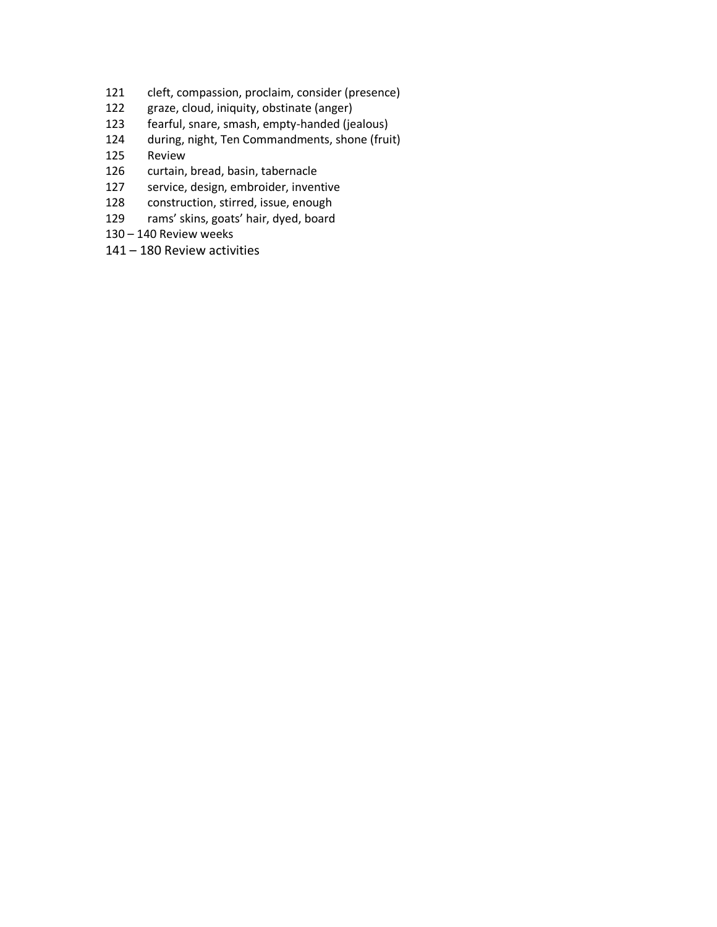- cleft, compassion, proclaim, consider (presence)
- graze, cloud, iniquity, obstinate (anger)
- fearful, snare, smash, empty-handed (jealous)
- during, night, Ten Commandments, shone (fruit)
- Review
- curtain, bread, basin, tabernacle
- service, design, embroider, inventive
- construction, stirred, issue, enough
- rams' skins, goats' hair, dyed, board
- 140 Review weeks
- 180 Review activities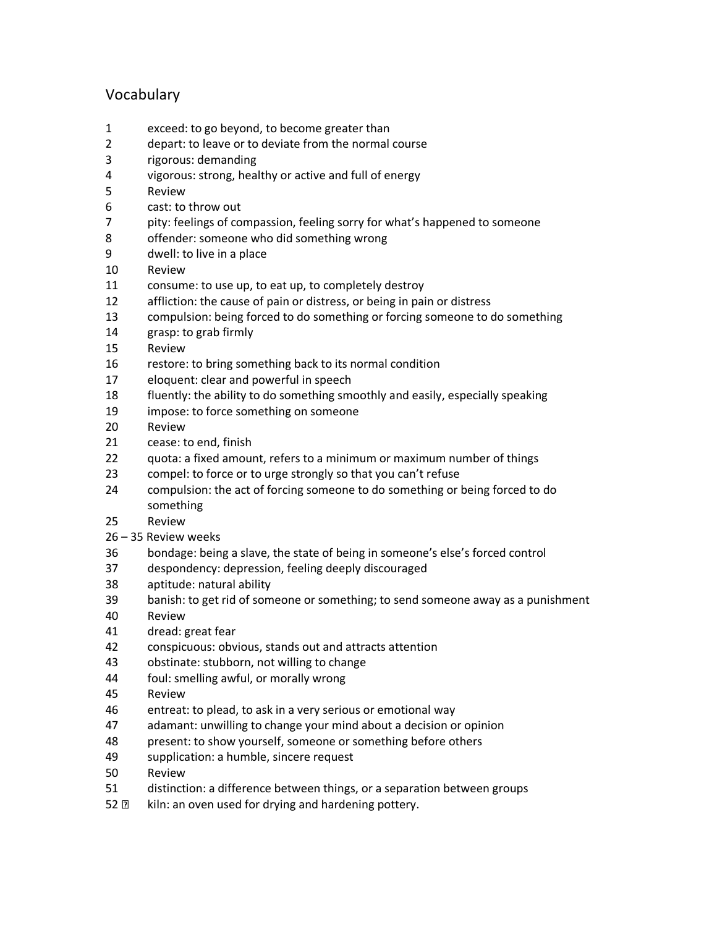# Vocabulary

- exceed: to go beyond, to become greater than
- depart: to leave or to deviate from the normal course
- rigorous: demanding
- vigorous: strong, healthy or active and full of energy
- Review
- cast: to throw out
- pity: feelings of compassion, feeling sorry for what's happened to someone
- offender: someone who did something wrong
- dwell: to live in a place
- Review
- consume: to use up, to eat up, to completely destroy
- affliction: the cause of pain or distress, or being in pain or distress
- compulsion: being forced to do something or forcing someone to do something
- grasp: to grab firmly
- Review
- restore: to bring something back to its normal condition
- eloquent: clear and powerful in speech
- fluently: the ability to do something smoothly and easily, especially speaking
- impose: to force something on someone
- Review
- cease: to end, finish
- quota: a fixed amount, refers to a minimum or maximum number of things
- compel: to force or to urge strongly so that you can't refuse
- compulsion: the act of forcing someone to do something or being forced to do something
- Review
- 35 Review weeks
- bondage: being a slave, the state of being in someone's else's forced control
- despondency: depression, feeling deeply discouraged
- aptitude: natural ability
- banish: to get rid of someone or something; to send someone away as a punishment
- Review
- dread: great fear
- conspicuous: obvious, stands out and attracts attention
- obstinate: stubborn, not willing to change
- foul: smelling awful, or morally wrong
- Review
- entreat: to plead, to ask in a very serious or emotional way
- adamant: unwilling to change your mind about a decision or opinion
- present: to show yourself, someone or something before others
- supplication: a humble, sincere request
- Review
- distinction: a difference between things, or a separation between groups
- $\textdegree$  kiln: an oven used for drying and hardening pottery.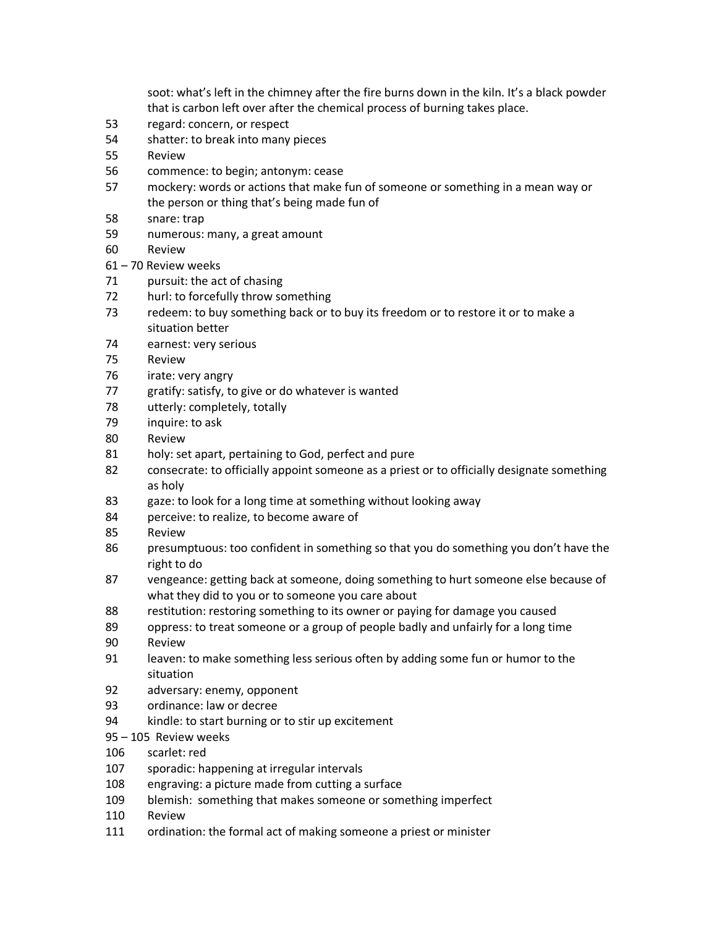soot: what's left in the chimney after the fire burns down in the kiln. It's a black powder that is carbon left over after the chemical process of burning takes place.

- regard: concern, or respect
- shatter: to break into many pieces
- Review
- commence: to begin; antonym: cease
- mockery: words or actions that make fun of someone or something in a mean way or the person or thing that's being made fun of
- snare: trap
- numerous: many, a great amount
- Review
- 70 Review weeks
- pursuit: the act of chasing
- hurl: to forcefully throw something
- redeem: to buy something back or to buy its freedom or to restore it or to make a situation better
- earnest: very serious
- Review
- irate: very angry
- gratify: satisfy, to give or do whatever is wanted
- utterly: completely, totally
- inquire: to ask
- Review
- holy: set apart, pertaining to God, perfect and pure
- consecrate: to officially appoint someone as a priest or to officially designate something as holy
- gaze: to look for a long time at something without looking away
- perceive: to realize, to become aware of
- Review
- presumptuous: too confident in something so that you do something you don't have the right to do
- vengeance: getting back at someone, doing something to hurt someone else because of what they did to you or to someone you care about
- 88 restitution: restoring something to its owner or paying for damage you caused
- oppress: to treat someone or a group of people badly and unfairly for a long time
- Review
- leaven: to make something less serious often by adding some fun or humor to the situation
- adversary: enemy, opponent
- ordinance: law or decree
- kindle: to start burning or to stir up excitement
- 105 Review weeks
- scarlet: red
- sporadic: happening at irregular intervals
- engraving: a picture made from cutting a surface
- blemish: something that makes someone or something imperfect
- Review
- 111 ordination: the formal act of making someone a priest or minister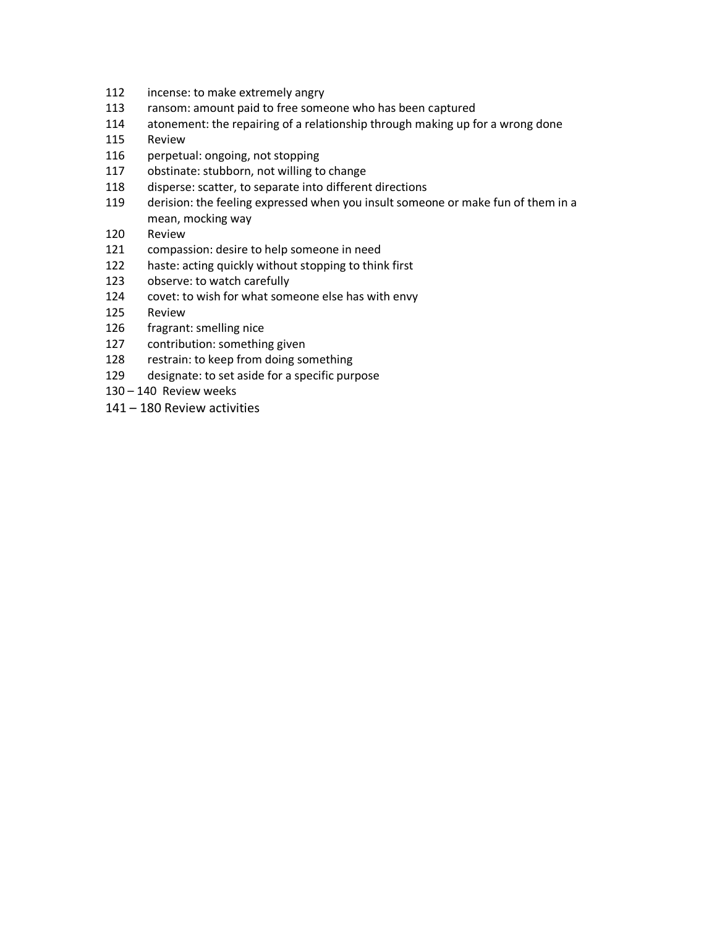- incense: to make extremely angry
- ransom: amount paid to free someone who has been captured
- atonement: the repairing of a relationship through making up for a wrong done
- Review
- perpetual: ongoing, not stopping
- obstinate: stubborn, not willing to change
- disperse: scatter, to separate into different directions
- derision: the feeling expressed when you insult someone or make fun of them in a mean, mocking way
- Review
- compassion: desire to help someone in need
- haste: acting quickly without stopping to think first
- observe: to watch carefully
- covet: to wish for what someone else has with envy
- Review
- fragrant: smelling nice
- contribution: something given
- restrain: to keep from doing something
- designate: to set aside for a specific purpose
- 140 Review weeks
- 180 Review activities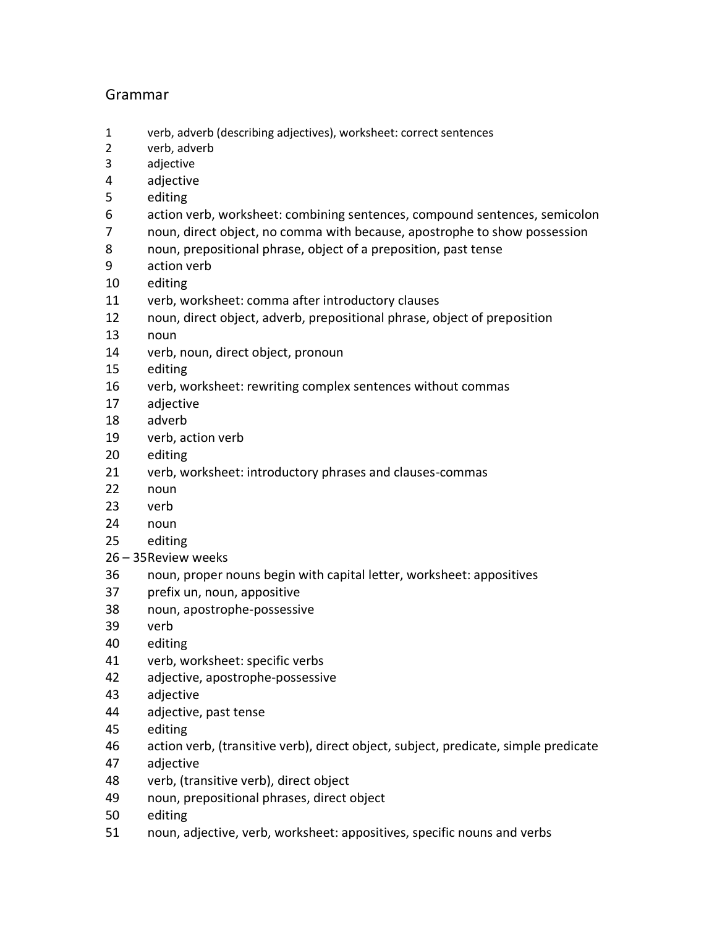# Grammar

- verb, adverb (describing adjectives), worksheet: correct sentences
- verb, adverb
- adjective
- adjective
- editing
- action verb, worksheet: combining sentences, compound sentences, semicolon
- noun, direct object, no comma with because, apostrophe to show possession
- noun, prepositional phrase, object of a preposition, past tense
- action verb
- editing
- verb, worksheet: comma after introductory clauses
- noun, direct object, adverb, prepositional phrase, object of preposition
- noun
- verb, noun, direct object, pronoun
- editing
- verb, worksheet: rewriting complex sentences without commas
- adjective
- adverb
- verb, action verb
- editing
- verb, worksheet: introductory phrases and clauses-commas
- noun
- verb
- noun
- editing
- 35Review weeks
- noun, proper nouns begin with capital letter, worksheet: appositives
- prefix un, noun, appositive
- noun, apostrophe-possessive
- verb
- editing
- verb, worksheet: specific verbs
- adjective, apostrophe-possessive
- adjective
- adjective, past tense
- editing
- action verb, (transitive verb), direct object, subject, predicate, simple predicate
- adjective
- verb, (transitive verb), direct object
- noun, prepositional phrases, direct object
- editing
- noun, adjective, verb, worksheet: appositives, specific nouns and verbs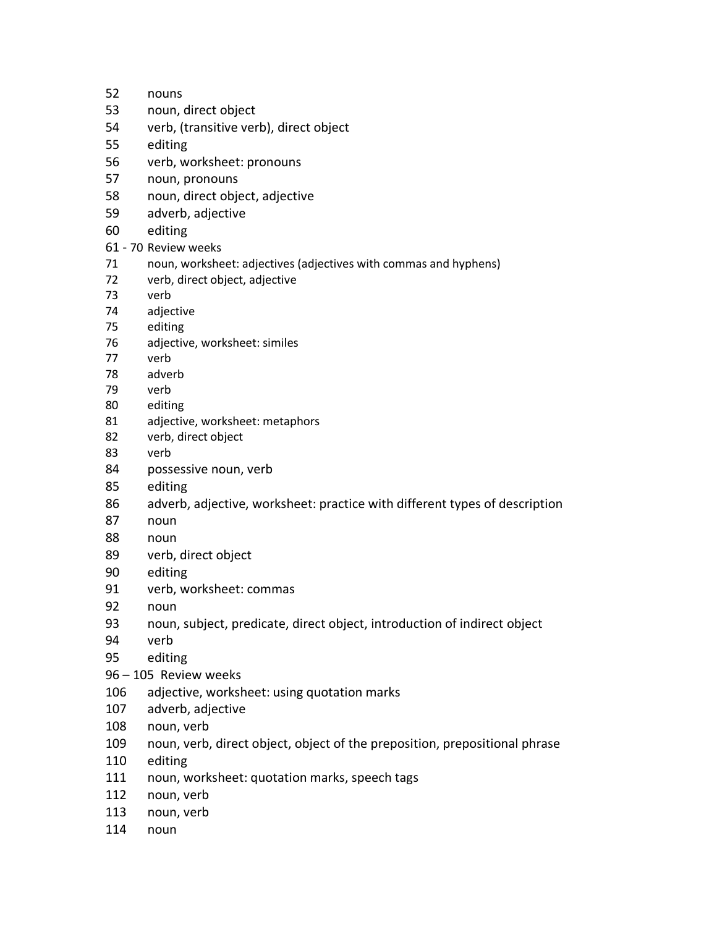- nouns noun, direct object verb, (transitive verb), direct object editing verb, worksheet: pronouns noun, pronouns noun, direct object, adjective adverb, adjective editing 61 - 70 Review weeks noun, worksheet: adjectives (adjectives with commas and hyphens) verb, direct object, adjective verb adjective editing adjective, worksheet: similes verb adverb verb editing adjective, worksheet: metaphors verb, direct object verb possessive noun, verb editing adverb, adjective, worksheet: practice with different types of description noun noun verb, direct object editing verb, worksheet: commas noun noun, subject, predicate, direct object, introduction of indirect object verb editing – 105 Review weeks adjective, worksheet: using quotation marks adverb, adjective noun, verb noun, verb, direct object, object of the preposition, prepositional phrase
	- editing
- noun, worksheet: quotation marks, speech tags
- noun, verb
- noun, verb
- noun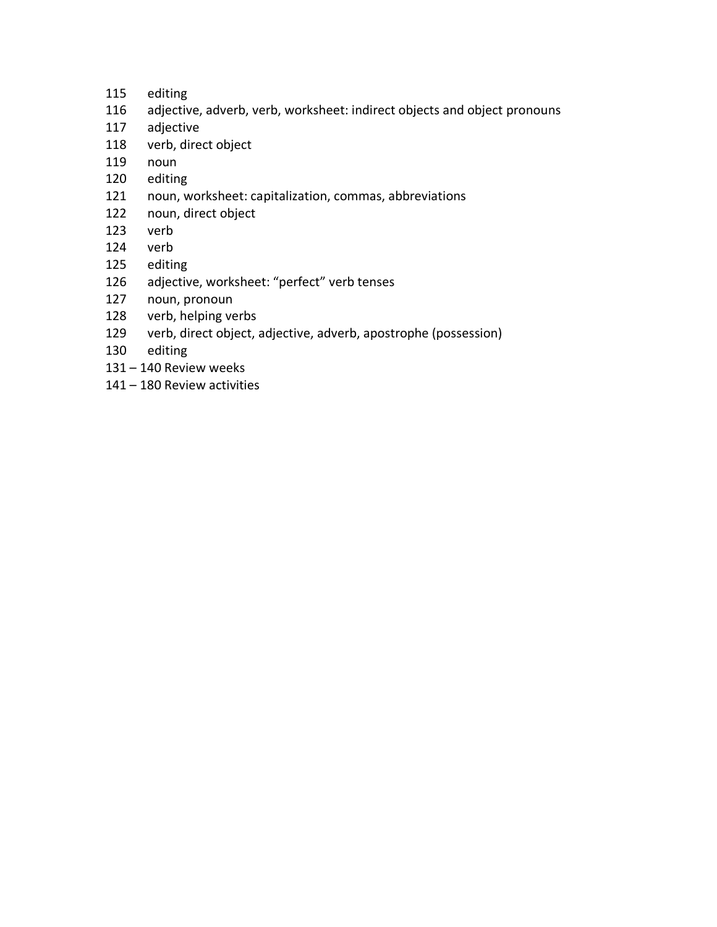- editing
- adjective, adverb, verb, worksheet: indirect objects and object pronouns
- adjective
- verb, direct object
- noun
- editing
- noun, worksheet: capitalization, commas, abbreviations
- noun, direct object
- verb
- verb
- editing
- adjective, worksheet: "perfect" verb tenses
- noun, pronoun
- verb, helping verbs
- verb, direct object, adjective, adverb, apostrophe (possession)
- editing
- 140 Review weeks
- 180 Review activities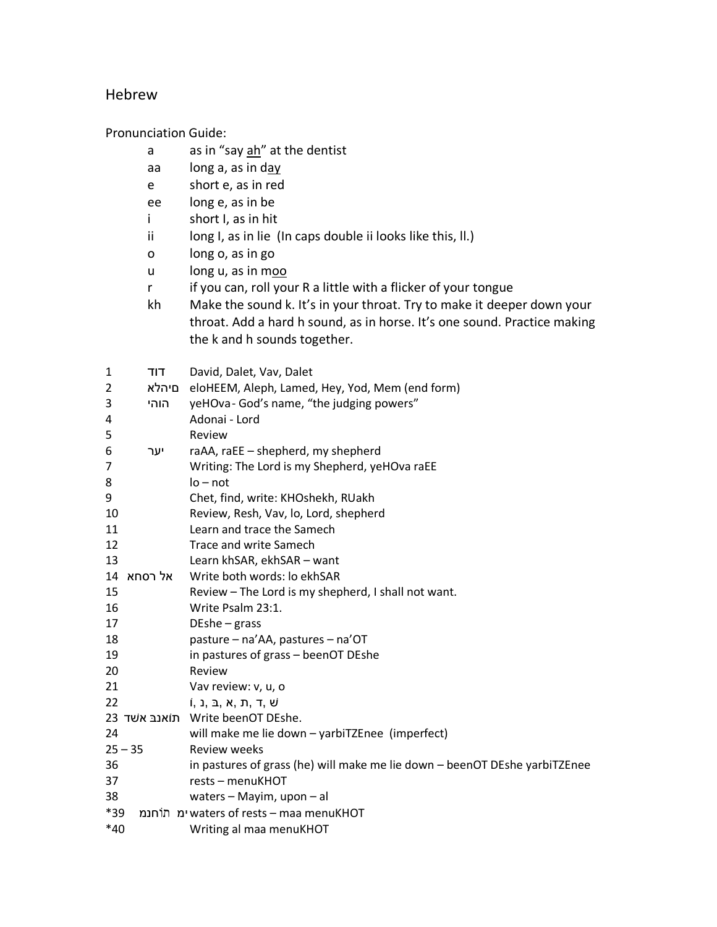## Hebrew

Pronunciation Guide:

- a as in "say  $\frac{ah}{a}$  at the dentist
- aa long a, as in day
- e short e, as in red
- ee long e, as in be
- i short I, as in hit
- ii long I, as in lie (In caps double ii looks like this, II.)
- o long o, as in go
- u long u, as in moo
- r if you can, roll your R a little with a flicker of your tongue
- kh Make the sound k. It's in your throat. Try to make it deeper down your throat. Add a hard h sound, as in horse. It's one sound. Practice making the k and h sounds together.

| $\mathbf{1}$ | דוד        | David, Dalet, Vav, Dalet                                                   |
|--------------|------------|----------------------------------------------------------------------------|
| 2            | םיהלא      | eloHEEM, Aleph, Lamed, Hey, Yod, Mem (end form)                            |
| 3            | הוהי       | yeHOva-God's name, "the judging powers"                                    |
| 4            |            | Adonai - Lord                                                              |
| 5            |            | Review                                                                     |
| 6            | יער        | raAA, raEE - shepherd, my shepherd                                         |
| 7            |            | Writing: The Lord is my Shepherd, yeHOva raEE                              |
| 8            |            | $I_0 - not$                                                                |
| 9            |            | Chet, find, write: KHOshekh, RUakh                                         |
| 10           |            | Review, Resh, Vav, lo, Lord, shepherd                                      |
| 11           |            | Learn and trace the Samech                                                 |
| 12           |            | Trace and write Samech                                                     |
| 13           |            | Learn khSAR, ekhSAR - want                                                 |
|              | 14 אל רסחא | Write both words: lo ekhSAR                                                |
| 15           |            | Review - The Lord is my shepherd, I shall not want.                        |
| 16           |            | Write Psalm 23:1.                                                          |
| 17           |            | $DEshe - grass$                                                            |
| 18           |            | pasture - na'AA, pastures - na'OT                                          |
| 19           |            | in pastures of grass - beenOT DEshe                                        |
| 20           |            | Review                                                                     |
| 21           |            | Vav review: v, u, o                                                        |
| 22           |            | i, ג, ב, ג, ד, ד, פ                                                        |
|              |            | 23 תוֹאנבּ אשׁד Write beenOT DEshe.                                        |
| 24           |            | will make me lie down - yarbiTZEnee (imperfect)                            |
|              | $25 - 35$  | <b>Review weeks</b>                                                        |
| 36           |            | in pastures of grass (he) will make me lie down - beenOT DEshe yarbiTZEnee |
| 37           |            | rests - menuKHOT                                                           |
| 38           |            | waters - Mayim, upon - al                                                  |
| *39          |            | ימ תוֹחנמ waters of rests – maa menuKHOT                                   |
| *40          |            | Writing al maa menuKHOT                                                    |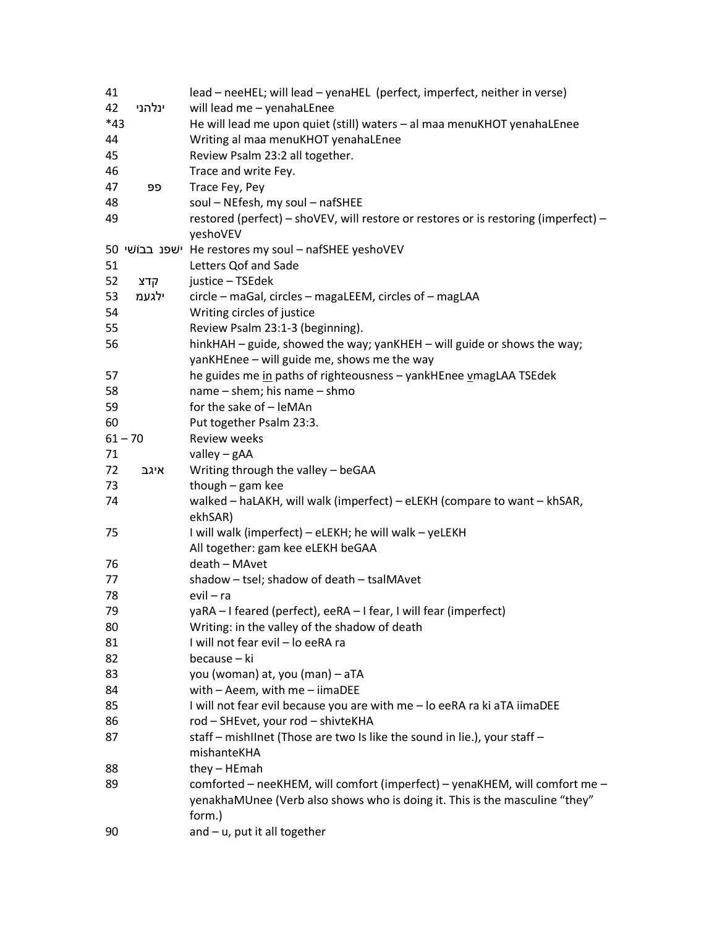| 41        |        | lead - neeHEL; will lead - yenaHEL (perfect, imperfect, neither in verse)                |
|-----------|--------|------------------------------------------------------------------------------------------|
| 42        | ינלהני | will lead me - yenahaLEnee                                                               |
| $*43$     |        | He will lead me upon quiet (still) waters - al maa menuKHOT yenahaLEnee                  |
| 44        |        | Writing al maa menuKHOT yenahaLEnee                                                      |
| 45        |        | Review Psalm 23:2 all together.                                                          |
| 46        |        | Trace and write Fey.                                                                     |
| 47        | פפ     | Trace Fey, Pey                                                                           |
| 48        |        | soul - NEfesh, my soul - nafSHEE                                                         |
| 49        |        | restored (perfect) - shoVEV, will restore or restores or is restoring (imperfect) -      |
|           |        | yeshoVEV                                                                                 |
|           |        | 50 ישפנ בבוֹשי He restores my soul – nafSHEE yeshoVEV                                    |
| 51        |        | Letters Qof and Sade                                                                     |
| 52        | קדצ    | justice - TSEdek                                                                         |
| 53        | ילגעמ  | circle - maGal, circles - magaLEEM, circles of - magLAA                                  |
| 54        |        | Writing circles of justice                                                               |
| 55        |        | Review Psalm 23:1-3 (beginning).                                                         |
| 56        |        | hinkHAH - guide, showed the way; yanKHEH - will guide or shows the way;                  |
|           |        | yanKHEnee - will guide me, shows me the way                                              |
| 57        |        | he guides me in paths of righteousness - yankHEnee v magLAA TSEdek                       |
| 58        |        | name - shem; his name - shmo                                                             |
| 59        |        | for the sake of - leMAn                                                                  |
| 60        |        | Put together Psalm 23:3.                                                                 |
| $61 - 70$ |        | <b>Review weeks</b>                                                                      |
|           |        |                                                                                          |
| 71        |        | valley - gAA                                                                             |
| 72        | איגב   | Writing through the valley - beGAA                                                       |
| 73        |        | though $-$ gam kee                                                                       |
| 74        |        | walked - haLAKH, will walk (imperfect) - eLEKH (compare to want - khSAR,<br>ekhSAR)      |
| 75        |        | I will walk (imperfect) - eLEKH; he will walk - yeLEKH                                   |
|           |        | All together: gam kee eLEKH beGAA                                                        |
| 76        |        | death - MAvet                                                                            |
| 77        |        | shadow - tsel; shadow of death - tsalMAvet                                               |
| 78        |        | evil - ra                                                                                |
| 79        |        | yaRA - I feared (perfect), eeRA - I fear, I will fear (imperfect)                        |
|           |        | Writing: in the valley of the shadow of death                                            |
| 80<br>81  |        | I will not fear evil - lo eeRA ra                                                        |
|           |        | because - ki                                                                             |
| 82        |        |                                                                                          |
| 83        |        | you (woman) at, you (man) - aTA                                                          |
| 84        |        | with - Aeem, with me - iimaDEE                                                           |
| 85        |        | I will not fear evil because you are with me - lo eeRA ra ki aTA iimaDEE                 |
| 86        |        | rod - SHEvet, your rod - shivteKHA                                                       |
| 87        |        | staff - mishllnet (Those are two Is like the sound in lie.), your staff -<br>mishanteKHA |
| 88        |        | $they$ – HEmah                                                                           |
| 89        |        | comforted - neeKHEM, will comfort (imperfect) - yenaKHEM, will comfort me -              |
|           |        | yenakhaMUnee (Verb also shows who is doing it. This is the masculine "they"              |
|           |        | form.)                                                                                   |
| 90        |        | $and - u$ , put it all together                                                          |
|           |        |                                                                                          |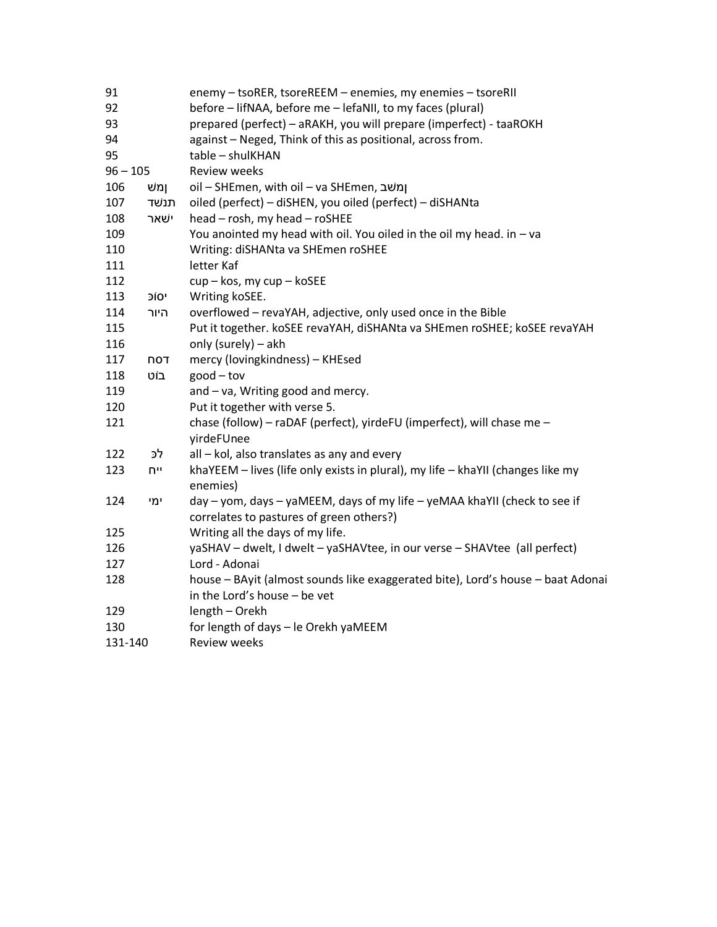| 91         |      | enemy - tsoRER, tsoreREEM - enemies, my enemies - tsoreRII                      |
|------------|------|---------------------------------------------------------------------------------|
| 92         |      | before - lifNAA, before me - lefaNII, to my faces (plural)                      |
| 93         |      | prepared (perfect) - aRAKH, you will prepare (imperfect) - taaROKH              |
| 94         |      | against - Neged, Think of this as positional, across from.                      |
| 95         |      | table - shulKHAN                                                                |
| $96 - 105$ |      | <b>Review weeks</b>                                                             |
| 106        | ומש  | oil – SHEmen, with oil – va SHEmen, ומשב                                        |
| 107        | תנשד | oiled (perfect) - diSHEN, you oiled (perfect) - diSHANta                        |
| 108        | ישאר | head - rosh, my head - roSHEE                                                   |
| 109        |      | You anointed my head with oil. You oiled in the oil my head. in - va            |
| 110        |      | Writing: diSHANta va SHEmen roSHEE                                              |
| 111        |      | letter Kaf                                                                      |
| 112        |      | cup - kos, my cup - koSEE                                                       |
| 113        | יסוכ | Writing koSEE.                                                                  |
| 114        | היור | overflowed - revaYAH, adjective, only used once in the Bible                    |
| 115        |      | Put it together. koSEE revaYAH, diSHANta va SHEmen roSHEE; koSEE revaYAH        |
| 116        |      | only (surely) - akh                                                             |
| 117        | TON  | mercy (lovingkindness) - KHEsed                                                 |
| 118        | בוט  | $good - tov$                                                                    |
| 119        |      | and - va, Writing good and mercy.                                               |
| 120        |      | Put it together with verse 5.                                                   |
| 121        |      | chase (follow) - raDAF (perfect), yirdeFU (imperfect), will chase me -          |
|            |      | yirdeFUnee                                                                      |
| 122        | לכ   | all - kol, also translates as any and every                                     |
| 123        | ייח  | khaYEEM - lives (life only exists in plural), my life - khaYII (changes like my |
|            |      | enemies)                                                                        |
| 124        | ימי  | day - yom, days - yaMEEM, days of my life - yeMAA khaYII (check to see if       |
|            |      | correlates to pastures of green others?)                                        |
| 125        |      | Writing all the days of my life.                                                |
| 126        |      | yaSHAV - dwelt, I dwelt - yaSHAVtee, in our verse - SHAVtee (all perfect)       |
| 127        |      | Lord - Adonai                                                                   |
| 128        |      | house - BAyit (almost sounds like exaggerated bite), Lord's house - baat Adonai |
|            |      | in the Lord's house - be vet                                                    |
| 129        |      | length - Orekh                                                                  |
| 130        |      | for length of days - le Orekh yaMEEM                                            |
| 131-140    |      | <b>Review weeks</b>                                                             |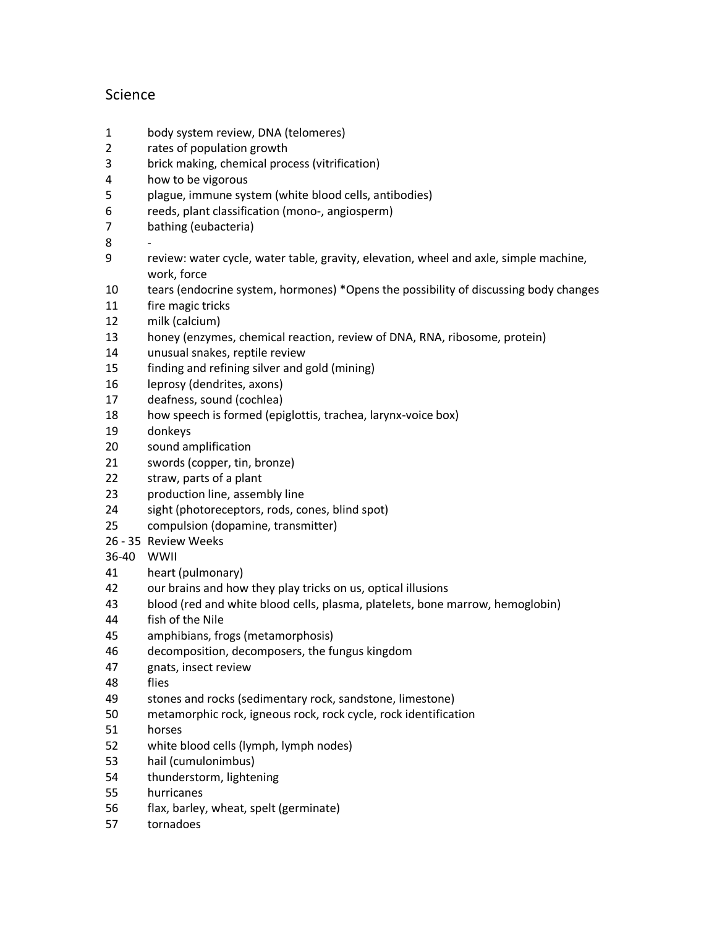# Science

- body system review, DNA (telomeres)
- rates of population growth
- brick making, chemical process (vitrification)
- how to be vigorous
- plague, immune system (white blood cells, antibodies)
- reeds, plant classification (mono-, angiosperm)
- bathing (eubacteria)
- -
- review: water cycle, water table, gravity, elevation, wheel and axle, simple machine, work, force
- tears (endocrine system, hormones) \*Opens the possibility of discussing body changes
- fire magic tricks
- milk (calcium)
- honey (enzymes, chemical reaction, review of DNA, RNA, ribosome, protein)
- unusual snakes, reptile review
- finding and refining silver and gold (mining)
- leprosy (dendrites, axons)
- deafness, sound (cochlea)
- how speech is formed (epiglottis, trachea, larynx-voice box)
- donkeys
- sound amplification
- swords (copper, tin, bronze)
- straw, parts of a plant
- production line, assembly line
- sight (photoreceptors, rods, cones, blind spot)
- compulsion (dopamine, transmitter)
- 26 35 Review Weeks
- 36-40 WWII
- heart (pulmonary)
- our brains and how they play tricks on us, optical illusions
- blood (red and white blood cells, plasma, platelets, bone marrow, hemoglobin)
- fish of the Nile
- amphibians, frogs (metamorphosis)
- decomposition, decomposers, the fungus kingdom
- gnats, insect review
- flies
- stones and rocks (sedimentary rock, sandstone, limestone)
- metamorphic rock, igneous rock, rock cycle, rock identification
- horses
- white blood cells (lymph, lymph nodes)
- hail (cumulonimbus)
- thunderstorm, lightening
- hurricanes
- flax, barley, wheat, spelt (germinate)
- tornadoes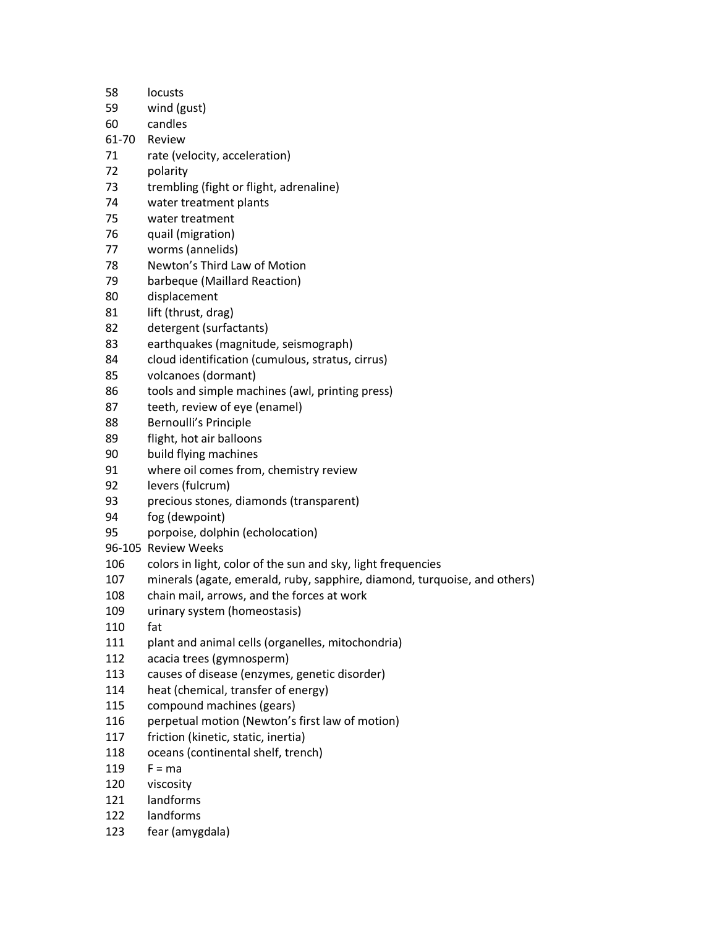- locusts
- wind (gust)
- candles
- 61-70 Review
- rate (velocity, acceleration)
- polarity
- trembling (fight or flight, adrenaline)
- water treatment plants
- water treatment
- quail (migration)
- worms (annelids)
- Newton's Third Law of Motion
- barbeque (Maillard Reaction)
- displacement
- 81 lift (thrust, drag)
- detergent (surfactants)
- earthquakes (magnitude, seismograph)
- cloud identification (cumulous, stratus, cirrus)
- volcanoes (dormant)
- tools and simple machines (awl, printing press)
- teeth, review of eye (enamel)
- Bernoulli's Principle
- flight, hot air balloons
- build flying machines
- where oil comes from, chemistry review
- levers (fulcrum)
- precious stones, diamonds (transparent)
- fog (dewpoint)
- porpoise, dolphin (echolocation)
- 96-105 Review Weeks
- colors in light, color of the sun and sky, light frequencies
- minerals (agate, emerald, ruby, sapphire, diamond, turquoise, and others)
- chain mail, arrows, and the forces at work
- urinary system (homeostasis)
- fat
- plant and animal cells (organelles, mitochondria)
- acacia trees (gymnosperm)
- causes of disease (enzymes, genetic disorder)
- heat (chemical, transfer of energy)
- compound machines (gears)
- perpetual motion (Newton's first law of motion)
- friction (kinetic, static, inertia)
- oceans (continental shelf, trench)
- F = ma
- viscosity
- landforms
- landforms
- fear (amygdala)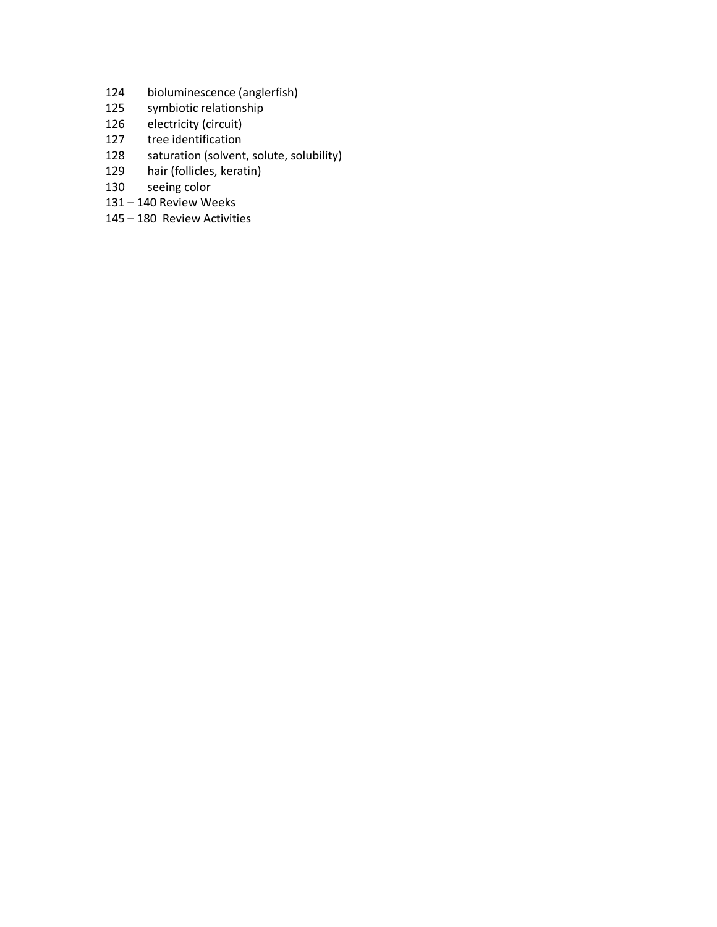- bioluminescence (anglerfish)
- symbiotic relationship
- electricity (circuit)
- tree identification
- 128 saturation (solvent, solute, solubility)
- hair (follicles, keratin)
- seeing color
- 140 Review Weeks
- 180 Review Activities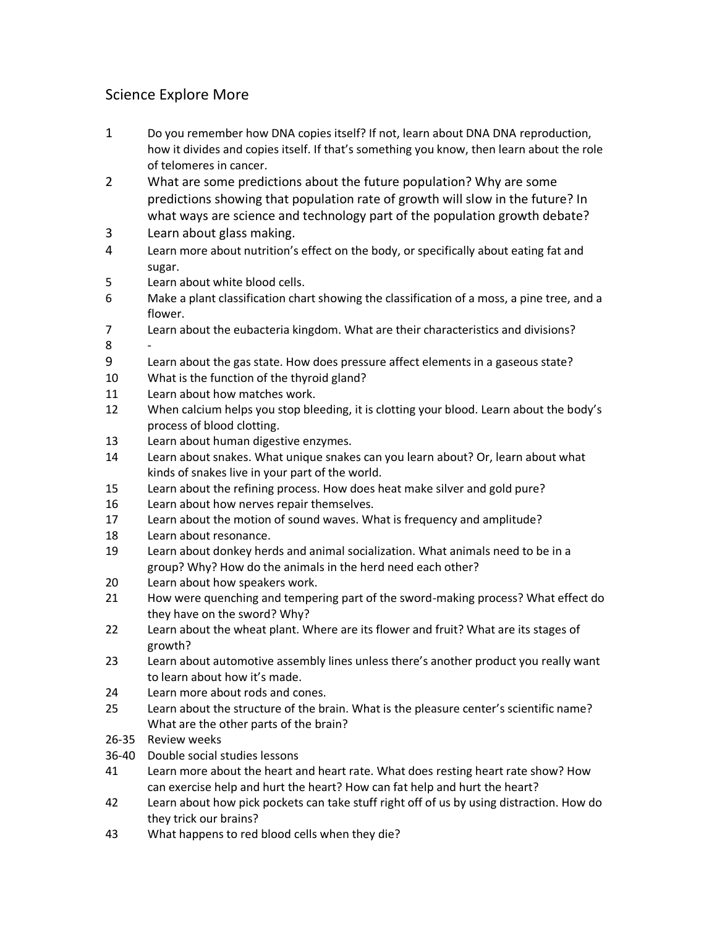# Science Explore More

- Do you remember how DNA copies itself? If not, learn about DNA DNA reproduction, how it divides and copies itself. If that's something you know, then learn about the role of telomeres in cancer.
- What are some predictions about the future population? Why are some predictions showing that population rate of growth will slow in the future? In what ways are science and technology part of the population growth debate?
- Learn about glass making.
- Learn more about nutrition's effect on the body, or specifically about eating fat and sugar.
- Learn about white blood cells.
- Make a plant classification chart showing the classification of a moss, a pine tree, and a flower.
- Learn about the eubacteria kingdom. What are their characteristics and divisions? -
- Learn about the gas state. How does pressure affect elements in a gaseous state?
- What is the function of the thyroid gland?
- Learn about how matches work.
- When calcium helps you stop bleeding, it is clotting your blood. Learn about the body's process of blood clotting.
- Learn about human digestive enzymes.
- Learn about snakes. What unique snakes can you learn about? Or, learn about what kinds of snakes live in your part of the world.
- Learn about the refining process. How does heat make silver and gold pure?
- Learn about how nerves repair themselves.
- Learn about the motion of sound waves. What is frequency and amplitude?
- Learn about resonance.
- Learn about donkey herds and animal socialization. What animals need to be in a group? Why? How do the animals in the herd need each other?
- Learn about how speakers work.
- How were quenching and tempering part of the sword-making process? What effect do they have on the sword? Why?
- Learn about the wheat plant. Where are its flower and fruit? What are its stages of growth?
- Learn about automotive assembly lines unless there's another product you really want to learn about how it's made.
- Learn more about rods and cones.
- Learn about the structure of the brain. What is the pleasure center's scientific name? What are the other parts of the brain?
- 26-35 Review weeks
- 36-40 Double social studies lessons
- Learn more about the heart and heart rate. What does resting heart rate show? How can exercise help and hurt the heart? How can fat help and hurt the heart?
- Learn about how pick pockets can take stuff right off of us by using distraction. How do they trick our brains?
- What happens to red blood cells when they die?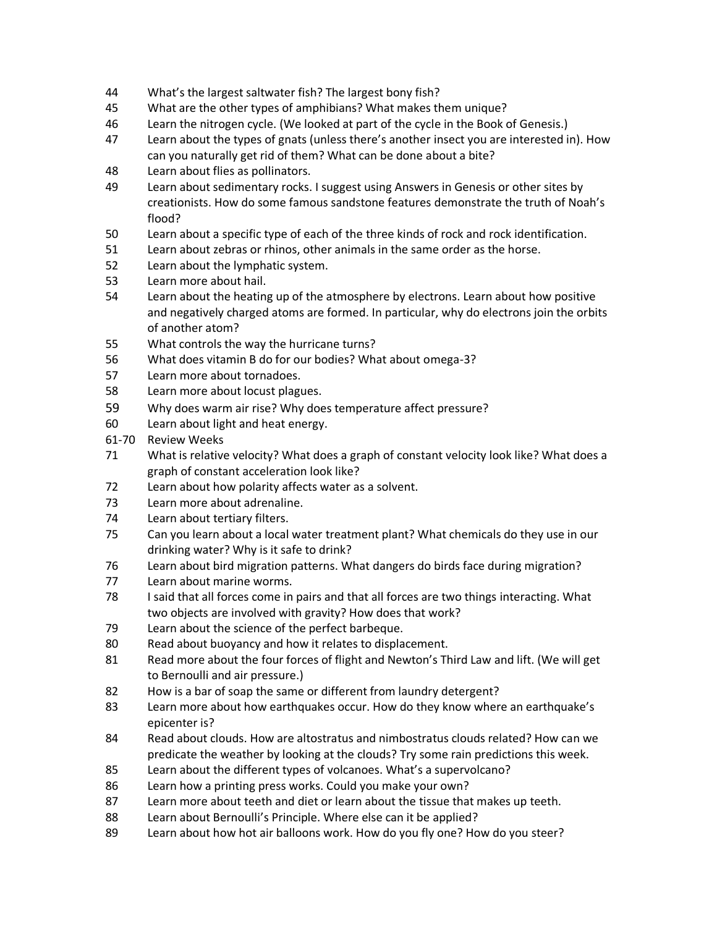- What's the largest saltwater fish? The largest bony fish?
- What are the other types of amphibians? What makes them unique?
- Learn the nitrogen cycle. (We looked at part of the cycle in the Book of Genesis.)
- Learn about the types of gnats (unless there's another insect you are interested in). How can you naturally get rid of them? What can be done about a bite?
- Learn about flies as pollinators.
- Learn about sedimentary rocks. I suggest using Answers in Genesis or other sites by creationists. How do some famous sandstone features demonstrate the truth of Noah's flood?
- Learn about a specific type of each of the three kinds of rock and rock identification.
- Learn about zebras or rhinos, other animals in the same order as the horse.
- Learn about the lymphatic system.
- Learn more about hail.
- Learn about the heating up of the atmosphere by electrons. Learn about how positive and negatively charged atoms are formed. In particular, why do electrons join the orbits of another atom?
- What controls the way the hurricane turns?
- What does vitamin B do for our bodies? What about omega-3?
- Learn more about tornadoes.
- Learn more about locust plagues.
- Why does warm air rise? Why does temperature affect pressure?
- Learn about light and heat energy.
- 61-70 Review Weeks
- What is relative velocity? What does a graph of constant velocity look like? What does a graph of constant acceleration look like?
- Learn about how polarity affects water as a solvent.
- Learn more about adrenaline.
- Learn about tertiary filters.
- Can you learn about a local water treatment plant? What chemicals do they use in our drinking water? Why is it safe to drink?
- Learn about bird migration patterns. What dangers do birds face during migration?
- Learn about marine worms.
- I said that all forces come in pairs and that all forces are two things interacting. What two objects are involved with gravity? How does that work?
- Learn about the science of the perfect barbeque.
- Read about buoyancy and how it relates to displacement.
- Read more about the four forces of flight and Newton's Third Law and lift. (We will get to Bernoulli and air pressure.)
- How is a bar of soap the same or different from laundry detergent?
- Learn more about how earthquakes occur. How do they know where an earthquake's epicenter is?
- Read about clouds. How are altostratus and nimbostratus clouds related? How can we predicate the weather by looking at the clouds? Try some rain predictions this week.
- Learn about the different types of volcanoes. What's a supervolcano?
- Learn how a printing press works. Could you make your own?
- Learn more about teeth and diet or learn about the tissue that makes up teeth.
- Learn about Bernoulli's Principle. Where else can it be applied?
- Learn about how hot air balloons work. How do you fly one? How do you steer?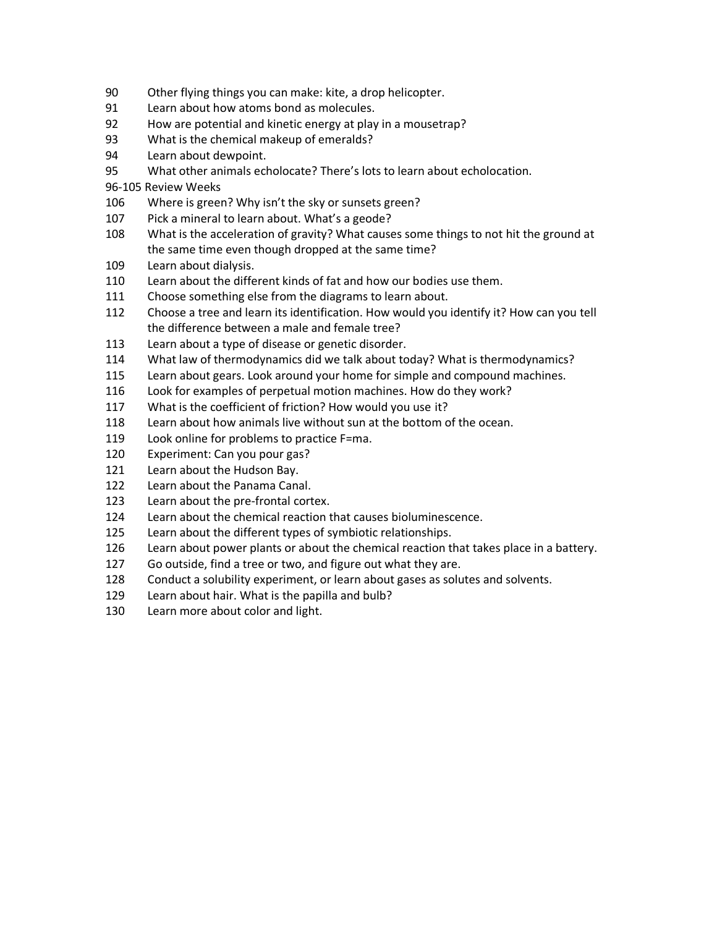- Other flying things you can make: kite, a drop helicopter.
- Learn about how atoms bond as molecules.
- How are potential and kinetic energy at play in a mousetrap?
- What is the chemical makeup of emeralds?
- Learn about dewpoint.
- What other animals echolocate? There's lots to learn about echolocation.

96-105 Review Weeks

- Where is green? Why isn't the sky or sunsets green?
- Pick a mineral to learn about. What's a geode?
- What is the acceleration of gravity? What causes some things to not hit the ground at the same time even though dropped at the same time?
- Learn about dialysis.
- Learn about the different kinds of fat and how our bodies use them.
- Choose something else from the diagrams to learn about.
- Choose a tree and learn its identification. How would you identify it? How can you tell the difference between a male and female tree?
- Learn about a type of disease or genetic disorder.
- What law of thermodynamics did we talk about today? What is thermodynamics?
- Learn about gears. Look around your home for simple and compound machines.
- Look for examples of perpetual motion machines. How do they work?
- What is the coefficient of friction? How would you use it?
- Learn about how animals live without sun at the bottom of the ocean.
- Look online for problems to practice F=ma.
- Experiment: Can you pour gas?
- Learn about the Hudson Bay.
- Learn about the Panama Canal.
- Learn about the pre-frontal cortex.
- Learn about the chemical reaction that causes bioluminescence.
- Learn about the different types of symbiotic relationships.
- Learn about power plants or about the chemical reaction that takes place in a battery.
- Go outside, find a tree or two, and figure out what they are.
- Conduct a solubility experiment, or learn about gases as solutes and solvents.
- Learn about hair. What is the papilla and bulb?
- Learn more about color and light.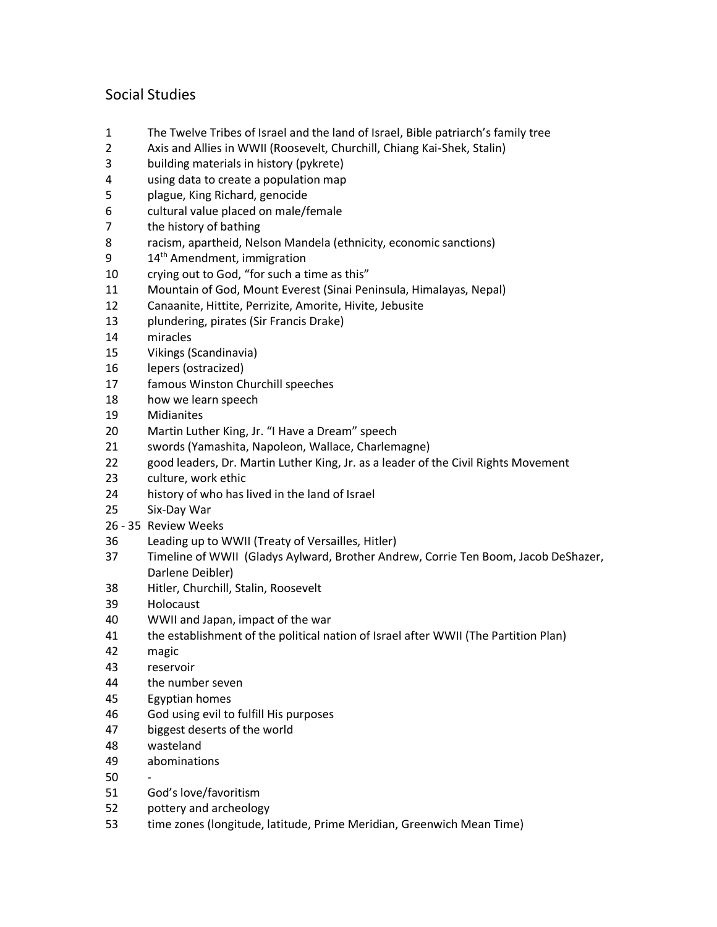# Social Studies

- The Twelve Tribes of Israel and the land of Israel, Bible patriarch's family tree
- Axis and Allies in WWII (Roosevelt, Churchill, Chiang Kai-Shek, Stalin)
- building materials in history (pykrete)
- using data to create a population map
- plague, King Richard, genocide
- cultural value placed on male/female
- the history of bathing
- racism, apartheid, Nelson Mandela (ethnicity, economic sanctions)
- 9 14<sup>th</sup> Amendment, immigration
- crying out to God, "for such a time as this"
- Mountain of God, Mount Everest (Sinai Peninsula, Himalayas, Nepal)
- Canaanite, Hittite, Perrizite, Amorite, Hivite, Jebusite
- plundering, pirates (Sir Francis Drake)
- miracles
- Vikings (Scandinavia)
- lepers (ostracized)
- famous Winston Churchill speeches
- how we learn speech
- Midianites
- Martin Luther King, Jr. "I Have a Dream" speech
- swords (Yamashita, Napoleon, Wallace, Charlemagne)
- good leaders, Dr. Martin Luther King, Jr. as a leader of the Civil Rights Movement
- culture, work ethic
- history of who has lived in the land of Israel
- Six-Day War
- 26 35 Review Weeks
- Leading up to WWII (Treaty of Versailles, Hitler)
- Timeline of WWII (Gladys Aylward, Brother Andrew, Corrie Ten Boom, Jacob DeShazer, Darlene Deibler)
- Hitler, Churchill, Stalin, Roosevelt
- Holocaust
- WWII and Japan, impact of the war
- the establishment of the political nation of Israel after WWII (The Partition Plan)
- magic
- reservoir
- the number seven
- Egyptian homes
- God using evil to fulfill His purposes
- biggest deserts of the world
- wasteland
- abominations
- -
- God's love/favoritism
- pottery and archeology
- time zones (longitude, latitude, Prime Meridian, Greenwich Mean Time)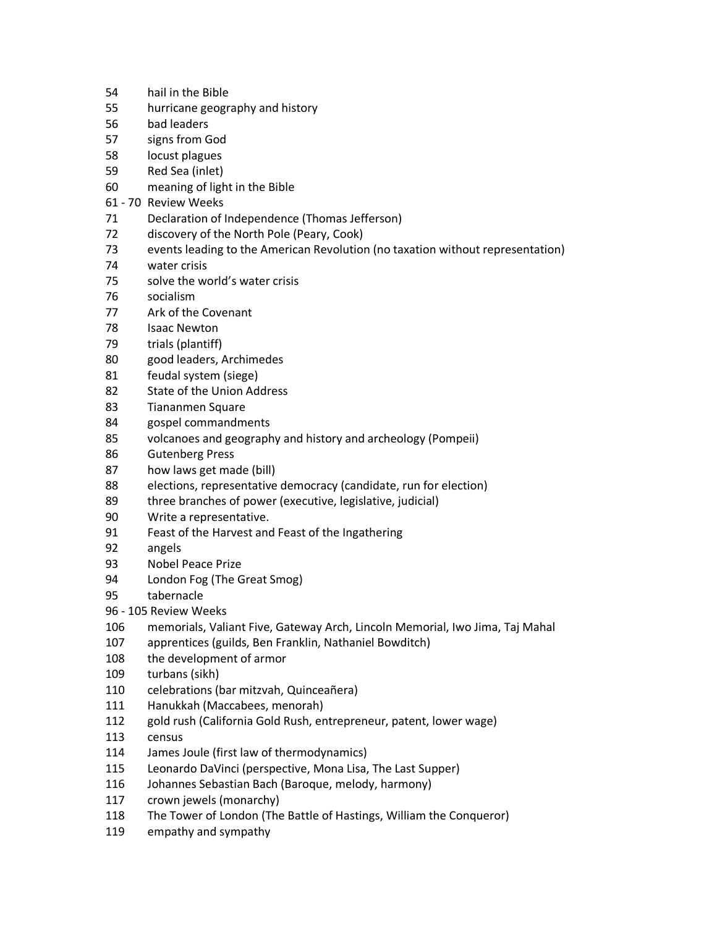- hail in the Bible
- hurricane geography and history
- bad leaders
- signs from God
- locust plagues
- Red Sea (inlet)
- meaning of light in the Bible
- 61 70 Review Weeks
- Declaration of Independence (Thomas Jefferson)
- discovery of the North Pole (Peary, Cook)
- events leading to the American Revolution (no taxation without representation)
- water crisis
- solve the world's water crisis
- socialism
- Ark of the Covenant
- Isaac Newton
- trials (plantiff)
- good leaders, Archimedes
- feudal system (siege)
- State of the Union Address
- Tiananmen Square
- gospel commandments
- volcanoes and geography and history and archeology (Pompeii)
- Gutenberg Press
- how laws get made (bill)
- elections, representative democracy (candidate, run for election)
- 89 three branches of power (executive, legislative, judicial)
- Write a representative.
- Feast of the Harvest and Feast of the Ingathering
- angels
- Nobel Peace Prize
- London Fog (The Great Smog)
- tabernacle
- 96 105 Review Weeks
- memorials, Valiant Five, Gateway Arch, Lincoln Memorial, Iwo Jima, Taj Mahal
- apprentices (guilds, Ben Franklin, Nathaniel Bowditch)
- the development of armor
- turbans (sikh)
- celebrations (bar mitzvah, Quinceañera)
- Hanukkah (Maccabees, menorah)
- gold rush (California Gold Rush, entrepreneur, patent, lower wage)
- census
- James Joule (first law of thermodynamics)
- Leonardo DaVinci (perspective, Mona Lisa, The Last Supper)
- Johannes Sebastian Bach (Baroque, melody, harmony)
- crown jewels (monarchy)
- The Tower of London (The Battle of Hastings, William the Conqueror)
- empathy and sympathy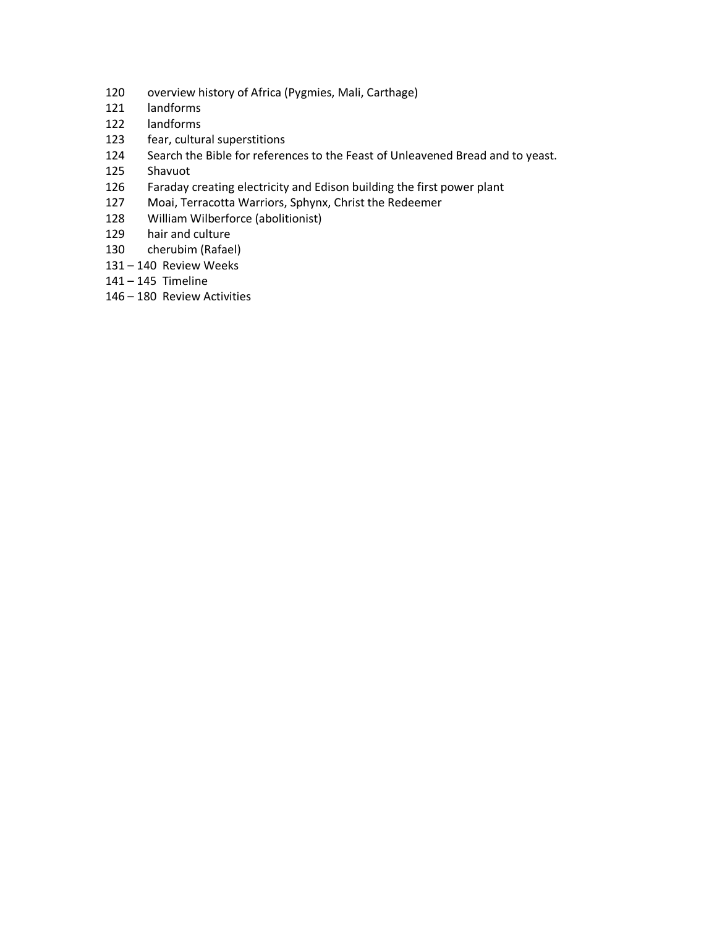- overview history of Africa (Pygmies, Mali, Carthage)
- landforms
- landforms
- fear, cultural superstitions
- Search the Bible for references to the Feast of Unleavened Bread and to yeast.
- Shavuot
- Faraday creating electricity and Edison building the first power plant
- Moai, Terracotta Warriors, Sphynx, Christ the Redeemer
- William Wilberforce (abolitionist)
- hair and culture
- cherubim (Rafael)
- 140 Review Weeks
- 145 Timeline
- 180 Review Activities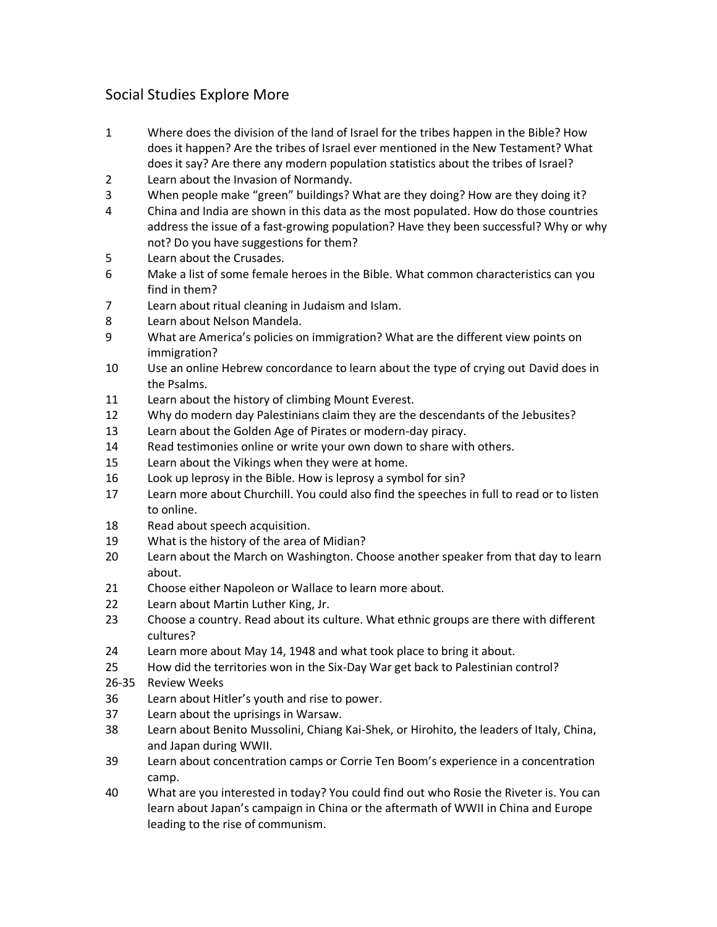# Social Studies Explore More

- Where does the division of the land of Israel for the tribes happen in the Bible? How does it happen? Are the tribes of Israel ever mentioned in the New Testament? What does it say? Are there any modern population statistics about the tribes of Israel?
- Learn about the Invasion of Normandy.
- When people make "green" buildings? What are they doing? How are they doing it?
- China and India are shown in this data as the most populated. How do those countries address the issue of a fast-growing population? Have they been successful? Why or why not? Do you have suggestions for them?
- Learn about the Crusades.
- Make a list of some female heroes in the Bible. What common characteristics can you find in them?
- Learn about ritual cleaning in Judaism and Islam.
- Learn about Nelson Mandela.
- What are America's policies on immigration? What are the different view points on immigration?
- Use an online Hebrew concordance to learn about the type of crying out David does in the Psalms.
- Learn about the history of climbing Mount Everest.
- Why do modern day Palestinians claim they are the descendants of the Jebusites?
- Learn about the Golden Age of Pirates or modern-day piracy.
- Read testimonies online or write your own down to share with others.
- Learn about the Vikings when they were at home.
- Look up leprosy in the Bible. How is leprosy a symbol for sin?
- Learn more about Churchill. You could also find the speeches in full to read or to listen to online.
- Read about speech acquisition.
- What is the history of the area of Midian?
- Learn about the March on Washington. Choose another speaker from that day to learn about.
- Choose either Napoleon or Wallace to learn more about.
- Learn about Martin Luther King, Jr.
- Choose a country. Read about its culture. What ethnic groups are there with different cultures?
- Learn more about May 14, 1948 and what took place to bring it about.
- How did the territories won in the Six-Day War get back to Palestinian control?
- 26-35 Review Weeks
- Learn about Hitler's youth and rise to power.
- Learn about the uprisings in Warsaw.
- Learn about Benito Mussolini, Chiang Kai-Shek, or Hirohito, the leaders of Italy, China, and Japan during WWII.
- Learn about concentration camps or Corrie Ten Boom's experience in a concentration camp.
- What are you interested in today? You could find out who Rosie the Riveter is. You can learn about Japan's campaign in China or the aftermath of WWII in China and Europe leading to the rise of communism.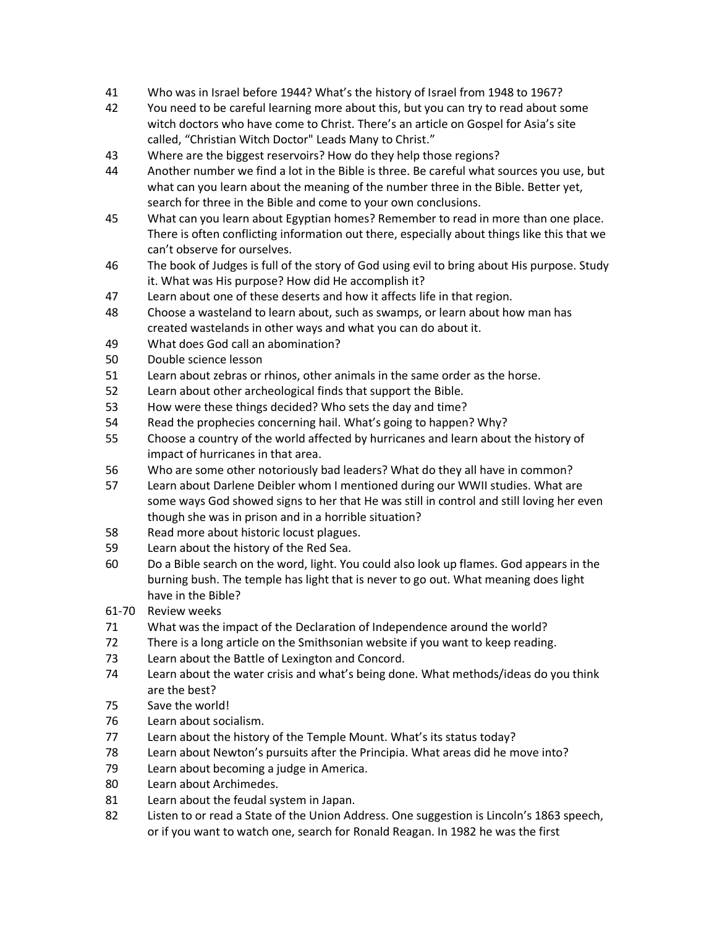- Who was in Israel before 1944? What's the history of Israel from 1948 to 1967?
- You need to be careful learning more about this, but you can try to read about some witch doctors who have come to Christ. There's an article on Gospel for Asia's site called, "Christian Witch Doctor" Leads Many to Christ."
- Where are the biggest reservoirs? How do they help those regions?
- Another number we find a lot in the Bible is three. Be careful what sources you use, but what can you learn about the meaning of the number three in the Bible. Better yet, search for three in the Bible and come to your own conclusions.
- What can you learn about Egyptian homes? Remember to read in more than one place. There is often conflicting information out there, especially about things like this that we can't observe for ourselves.
- The book of Judges is full of the story of God using evil to bring about His purpose. Study it. What was His purpose? How did He accomplish it?
- Learn about one of these deserts and how it affects life in that region.
- Choose a wasteland to learn about, such as swamps, or learn about how man has created wastelands in other ways and what you can do about it.
- What does God call an abomination?
- Double science lesson
- Learn about zebras or rhinos, other animals in the same order as the horse.
- Learn about other archeological finds that support the Bible.
- How were these things decided? Who sets the day and time?
- Read the prophecies concerning hail. What's going to happen? Why?
- Choose a country of the world affected by hurricanes and learn about the history of impact of hurricanes in that area.
- Who are some other notoriously bad leaders? What do they all have in common?
- Learn about Darlene Deibler whom I mentioned during our WWII studies. What are some ways God showed signs to her that He was still in control and still loving her even though she was in prison and in a horrible situation?
- Read more about historic locust plagues.
- Learn about the history of the Red Sea.
- Do a Bible search on the word, light. You could also look up flames. God appears in the burning bush. The temple has light that is never to go out. What meaning does light have in the Bible?
- 61-70 Review weeks
- What was the impact of the Declaration of Independence around the world?
- There is a long article on the Smithsonian website if you want to keep reading.
- Learn about the Battle of Lexington and Concord.
- Learn about the water crisis and what's being done. What methods/ideas do you think are the best?
- Save the world!
- Learn about socialism.
- Learn about the history of the Temple Mount. What's its status today?
- Learn about Newton's pursuits after the Principia. What areas did he move into?
- Learn about becoming a judge in America.
- Learn about Archimedes.
- Learn about the feudal system in Japan.
- Listen to or read a State of the Union Address. One suggestion is Lincoln's 1863 speech, or if you want to watch one, search for Ronald Reagan. In 1982 he was the first